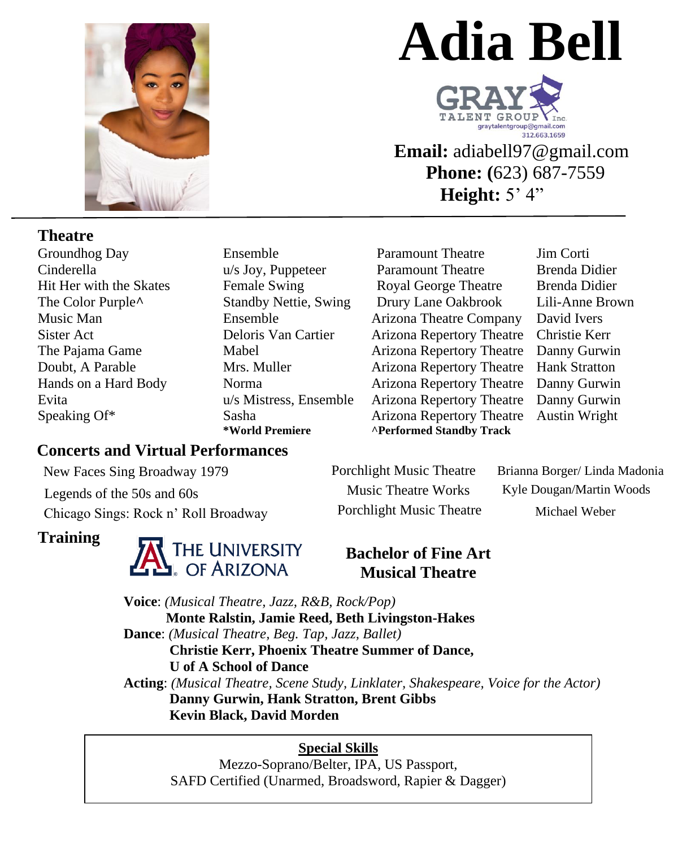

# **Adia Bell**



**Email:** adiabell97@gmail.com  **Phone: (**623) 687-7559 **Height:**  $5'$  4"

### **Theatre**

Groundhog Day Cinderella Hit Her with the Skates The Color Purple**^**

Ensemble u/s Joy, Puppeteer Female Swing Standby Nettie, Swing

Paramount Theatre Paramount Theatre Royal George Theatre Drury Lane Oakbrook Music Man Ensemble Arizona Theatre Company David Ivers Sister Act Deloris Van Cartier Arizona Repertory Theatre Christie Kerr The Pajama Game Mabel Mabel Arizona Repertory Theatre Danny Gurwin Doubt, A Parable Mrs. Muller Arizona Repertory Theatre Hank Stratton Hands on a Hard Body Norma Arizona Repertory Theatre Danny Gurwin Evita u/s Mistress, Ensemble Arizona Repertory Theatre Danny Gurwin Speaking Of\* Sasha Sasha Arizona Repertory Theatre Austin Wright<br>
\*World Premiere Arizona Standby Track **\*Performed Standby Track** 

Jim Corti Brenda Didier Brenda Didier Lili-Anne Brown

# **Concerts and Virtual Performances**

Chicago Sings: Rock n' Roll Broadway Legends of the 50s and 60s Music Theatre Works Kyle Dougan/Martin Woods New Faces Sing Broadway 1979 Porchlight Music Theatre Brianna Borger/ Linda Madonia

# **Training**



Porchlight Music Theatre Michael Weber

### **Bachelor of Fine Art Musical Theatre**

**Voice**: *(Musical Theatre, Jazz, R&B, Rock/Pop)* **Monte Ralstin, Jamie Reed, Beth Livingston-Hakes Dance**: *(Musical Theatre, Beg. Tap, Jazz, Ballet)* **Christie Kerr, Phoenix Theatre Summer of Dance, U of A School of Dance Acting**: *(Musical Theatre, Scene Study, Linklater, Shakespeare, Voice for the Actor)* **Danny Gurwin, Hank Stratton, Brent Gibbs Kevin Black, David Morden**

#### **Special Skills**

Mezzo-Soprano/Belter, IPA, US Passport, SAFD Certified (Unarmed, Broadsword, Rapier & Dagger)